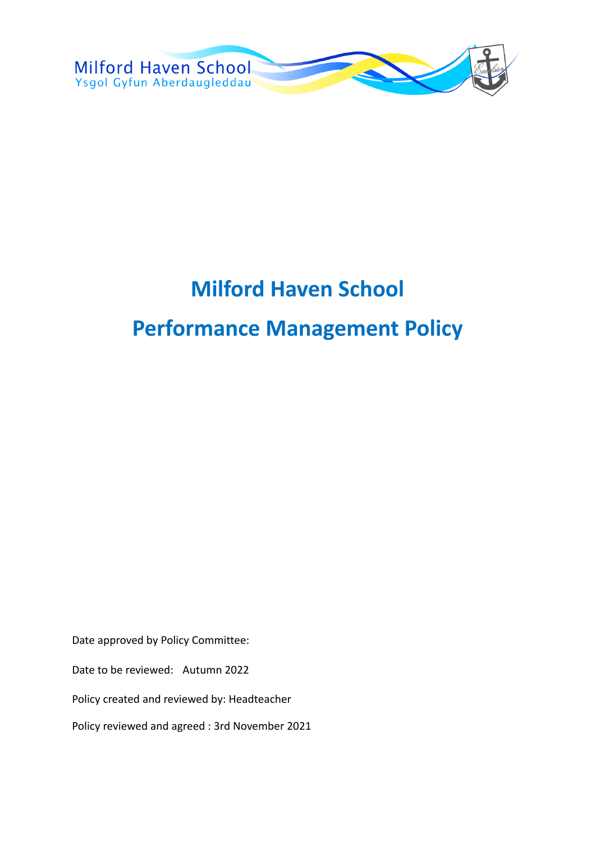

# **Milford Haven School Performance Management Policy**

Date approved by Policy Committee:

Date to be reviewed: Autumn 2022

Policy created and reviewed by: Headteacher

Policy reviewed and agreed : 3rd November 2021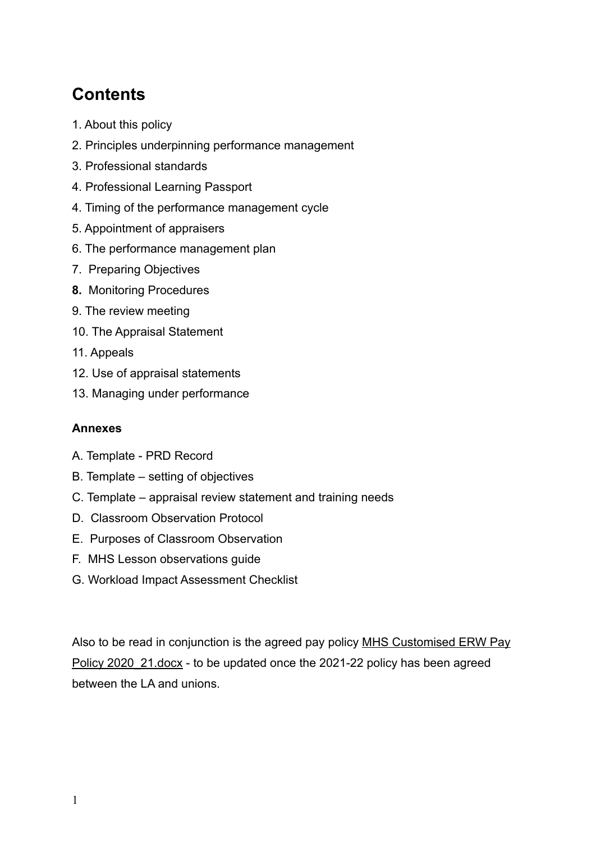# **Contents**

- 1. About this policy
- 2. Principles underpinning performance management
- 3. Professional standards
- 4. Professional Learning Passport
- 4. Timing of the performance management cycle
- 5. Appointment of appraisers
- 6. The performance management plan
- 7. Preparing Objectives
- **8.** Monitoring Procedures
- 9. The review meeting
- 10. The Appraisal Statement
- 11. Appeals
- 12. Use of appraisal statements
- 13. Managing under performance

#### **Annexes**

- A. Template PRD Record
- B. Template setting of objectives
- C. Template appraisal review statement and training needs
- D. Classroom Observation Protocol
- E. Purposes of Classroom Observation
- F. MHS Lesson observations guide
- G. Workload Impact Assessment Checklist

Also to be read in conjunction is the agreed pay policy [MHS Customised ERW Pay](https://docs.google.com/document/d/1VrSCyIkqxRd17vn8ID0VNGb4luxmfETo/edit) Policy 2020 21.docx - to be updated once the 2021-22 policy has been agreed between the LA and unions.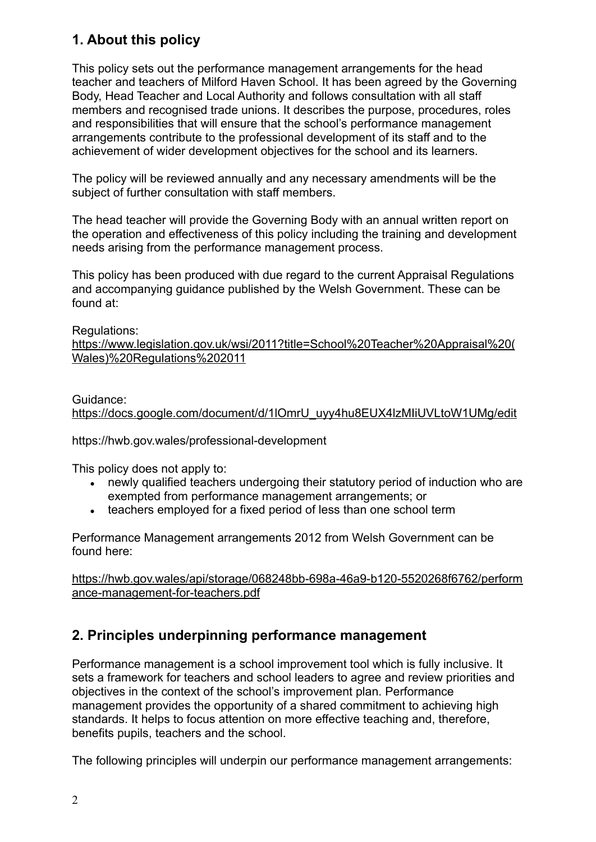### **1. About this policy**

This policy sets out the performance management arrangements for the head teacher and teachers of Milford Haven School. It has been agreed by the Governing Body, Head Teacher and Local Authority and follows consultation with all staff members and recognised trade unions. It describes the purpose, procedures, roles and responsibilities that will ensure that the school's performance management arrangements contribute to the professional development of its staff and to the achievement of wider development objectives for the school and its learners.

The policy will be reviewed annually and any necessary amendments will be the subject of further consultation with staff members.

The head teacher will provide the Governing Body with an annual written report on the operation and effectiveness of this policy including the training and development needs arising from the performance management process.

This policy has been produced with due regard to the current Appraisal Regulations and accompanying guidance published by the Welsh Government. These can be found at:

#### Regulations:

[https://www.legislation.gov.uk/wsi/2011?title=School%20Teacher%20Appraisal%20\(](https://www.legislation.gov.uk/wsi/2011?title=School%20Teacher%20Appraisal%20(Wales)%20Regulations%202011) [Wales\)%20Regulations%202011](https://www.legislation.gov.uk/wsi/2011?title=School%20Teacher%20Appraisal%20(Wales)%20Regulations%202011)

Guidance:

[https://docs.google.com/document/d/1lOmrU\\_uyy4hu8EUX4lzMIiUVLtoW1UMg/edit](https://docs.google.com/document/d/1lOmrU_uyy4hu8EUX4lzMIiUVLtoW1UMg/edit)

https://hwb.gov.wales/professional-development

This policy does not apply to:

- newly qualified teachers undergoing their statutory period of induction who are exempted from performance management arrangements; or
- teachers employed for a fixed period of less than one school term

Performance Management arrangements 2012 from Welsh Government can be found here:

[https://hwb.gov.wales/api/storage/068248bb-698a-46a9-b120-5520268f6762/perform](https://hwb.gov.wales/api/storage/068248bb-698a-46a9-b120-5520268f6762/performance-management-for-teachers.pdf) [ance-management-for-teachers.pdf](https://hwb.gov.wales/api/storage/068248bb-698a-46a9-b120-5520268f6762/performance-management-for-teachers.pdf)

### **2. Principles underpinning performance management**

Performance management is a school improvement tool which is fully inclusive. It sets a framework for teachers and school leaders to agree and review priorities and objectives in the context of the school's improvement plan. Performance management provides the opportunity of a shared commitment to achieving high standards. It helps to focus attention on more effective teaching and, therefore, benefits pupils, teachers and the school.

The following principles will underpin our performance management arrangements: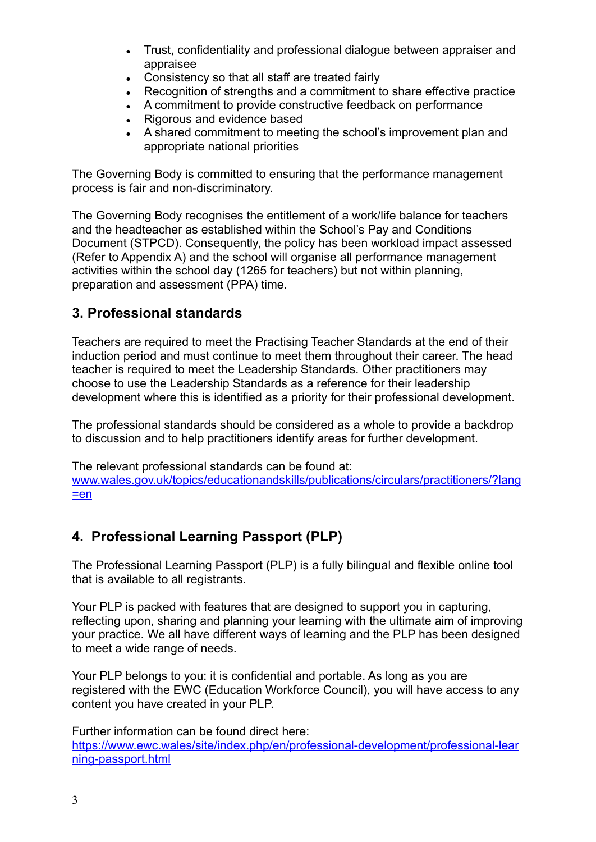- Trust, confidentiality and professional dialogue between appraiser and appraisee
- Consistency so that all staff are treated fairly
- Recognition of strengths and a commitment to share effective practice
- A commitment to provide constructive feedback on performance
- Rigorous and evidence based
- A shared commitment to meeting the school's improvement plan and appropriate national priorities

The Governing Body is committed to ensuring that the performance management process is fair and non-discriminatory.

The Governing Body recognises the entitlement of a work/life balance for teachers and the headteacher as established within the School's Pay and Conditions Document (STPCD). Consequently, the policy has been workload impact assessed (Refer to Appendix A) and the school will organise all performance management activities within the school day (1265 for teachers) but not within planning, preparation and assessment (PPA) time.

### **3. Professional standards**

Teachers are required to meet the Practising Teacher Standards at the end of their induction period and must continue to meet them throughout their career. The head teacher is required to meet the Leadership Standards. Other practitioners may choose to use the Leadership Standards as a reference for their leadership development where this is identified as a priority for their professional development.

The professional standards should be considered as a whole to provide a backdrop to discussion and to help practitioners identify areas for further development.

The relevant professional standards can be found at: [www.wales.gov.uk/topics/educationandskills/publications/circulars/practitioners/?lang](http://www.wales.gov.uk/topics/educationandskills/publications/circulars/practitioners/?lang=en) [=en](http://www.wales.gov.uk/topics/educationandskills/publications/circulars/practitioners/?lang=en)

### **4. Professional Learning Passport (PLP)**

The Professional Learning Passport (PLP) is a fully bilingual and flexible online tool that is available to all registrants.

Your PLP is packed with features that are designed to support you in capturing, reflecting upon, sharing and planning your learning with the ultimate aim of improving your practice. We all have different ways of learning and the PLP has been designed to meet a wide range of needs.

Your PLP belongs to you: it is confidential and portable. As long as you are registered with the EWC (Education Workforce Council), you will have access to any content you have created in your PLP.

Further information can be found direct here: [https://www.ewc.wales/site/index.php/en/professional-development/professional-lear](https://www.ewc.wales/site/index.php/en/professional-development/professional-learning-passport.html) [ning-passport.html](https://www.ewc.wales/site/index.php/en/professional-development/professional-learning-passport.html)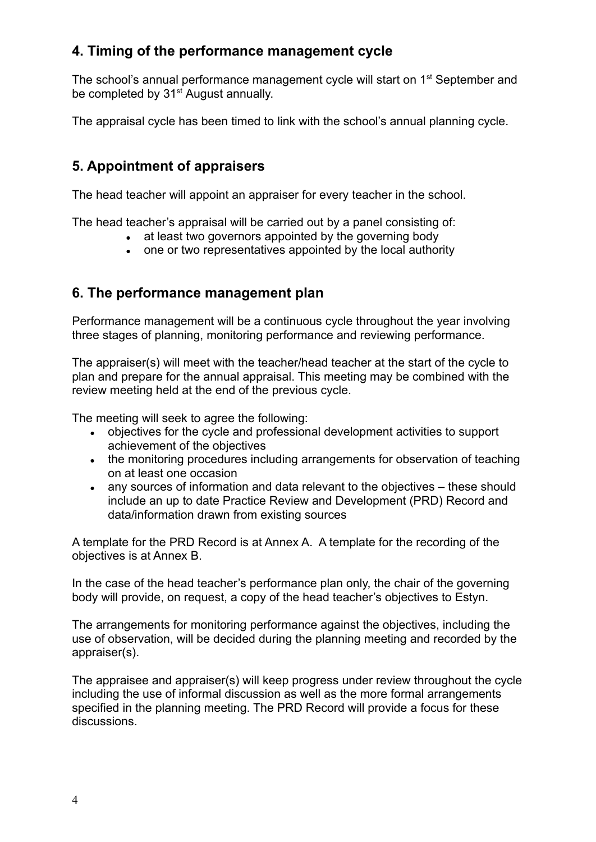### **4. Timing of the performance management cycle**

The school's annual performance management cycle will start on 1<sup>st</sup> September and be completed by 31<sup>st</sup> August annually.

The appraisal cycle has been timed to link with the school's annual planning cycle.

### **5. Appointment of appraisers**

The head teacher will appoint an appraiser for every teacher in the school.

The head teacher's appraisal will be carried out by a panel consisting of:

- at least two governors appointed by the governing body
- one or two representatives appointed by the local authority

### **6. The performance management plan**

Performance management will be a continuous cycle throughout the year involving three stages of planning, monitoring performance and reviewing performance.

The appraiser(s) will meet with the teacher/head teacher at the start of the cycle to plan and prepare for the annual appraisal. This meeting may be combined with the review meeting held at the end of the previous cycle.

The meeting will seek to agree the following:

- objectives for the cycle and professional development activities to support achievement of the objectives
- the monitoring procedures including arrangements for observation of teaching on at least one occasion
- any sources of information and data relevant to the objectives these should include an up to date Practice Review and Development (PRD) Record and data/information drawn from existing sources

A template for the PRD Record is at Annex A. A template for the recording of the objectives is at Annex B.

In the case of the head teacher's performance plan only, the chair of the governing body will provide, on request, a copy of the head teacher's objectives to Estyn.

The arrangements for monitoring performance against the objectives, including the use of observation, will be decided during the planning meeting and recorded by the appraiser(s).

The appraisee and appraiser(s) will keep progress under review throughout the cycle including the use of informal discussion as well as the more formal arrangements specified in the planning meeting. The PRD Record will provide a focus for these discussions.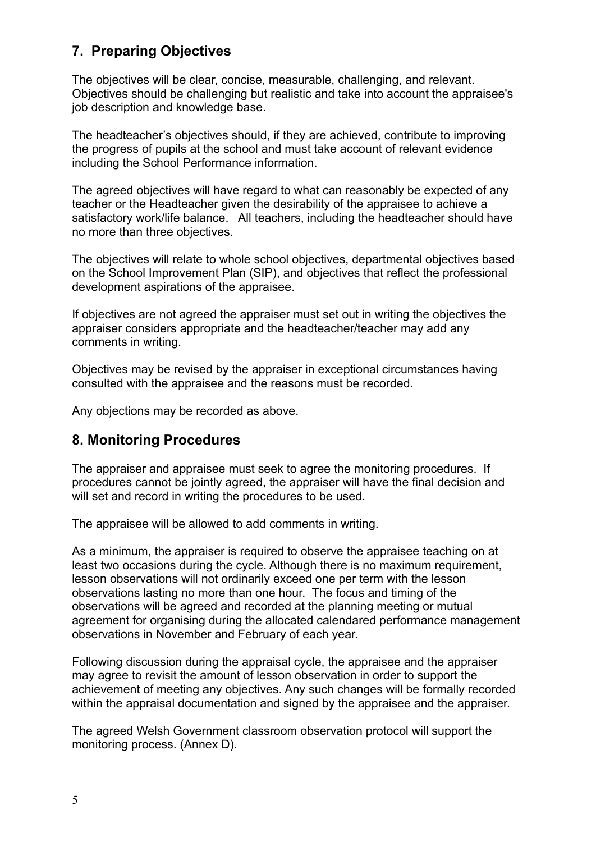### **7. Preparing Objectives**

The objectives will be clear, concise, measurable, challenging, and relevant. Objectives should be challenging but realistic and take into account the appraisee's job description and knowledge base.

The headteacher's objectives should, if they are achieved, contribute to improving the progress of pupils at the school and must take account of relevant evidence including the School Performance information.

The agreed objectives will have regard to what can reasonably be expected of any teacher or the Headteacher given the desirability of the appraisee to achieve a satisfactory work/life balance. All teachers, including the headteacher should have no more than three objectives.

The objectives will relate to whole school objectives, departmental objectives based on the School Improvement Plan (SIP), and objectives that reflect the professional development aspirations of the appraisee.

If objectives are not agreed the appraiser must set out in writing the objectives the appraiser considers appropriate and the headteacher/teacher may add any comments in writing.

Objectives may be revised by the appraiser in exceptional circumstances having consulted with the appraisee and the reasons must be recorded.

Any objections may be recorded as above.

### **8. Monitoring Procedures**

The appraiser and appraisee must seek to agree the monitoring procedures. If procedures cannot be jointly agreed, the appraiser will have the final decision and will set and record in writing the procedures to be used.

The appraisee will be allowed to add comments in writing.

As a minimum, the appraiser is required to observe the appraisee teaching on at least two occasions during the cycle. Although there is no maximum requirement, lesson observations will not ordinarily exceed one per term with the lesson observations lasting no more than one hour. The focus and timing of the observations will be agreed and recorded at the planning meeting or mutual agreement for organising during the allocated calendared performance management observations in November and February of each year.

Following discussion during the appraisal cycle, the appraisee and the appraiser may agree to revisit the amount of lesson observation in order to support the achievement of meeting any objectives. Any such changes will be formally recorded within the appraisal documentation and signed by the appraisee and the appraiser.

The agreed Welsh Government classroom observation protocol will support the monitoring process. (Annex D).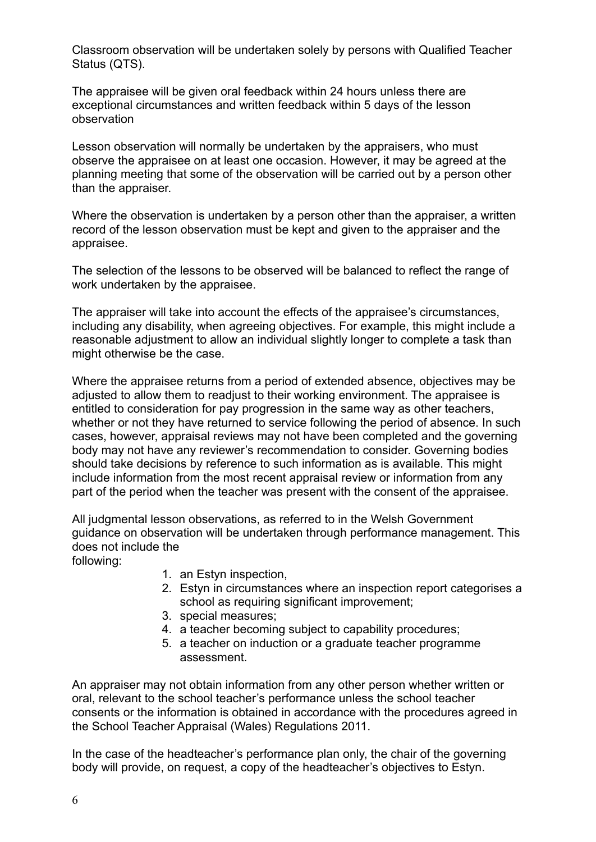Classroom observation will be undertaken solely by persons with Qualified Teacher Status (QTS).

The appraisee will be given oral feedback within 24 hours unless there are exceptional circumstances and written feedback within 5 days of the lesson observation

Lesson observation will normally be undertaken by the appraisers, who must observe the appraisee on at least one occasion. However, it may be agreed at the planning meeting that some of the observation will be carried out by a person other than the appraiser.

Where the observation is undertaken by a person other than the appraiser, a written record of the lesson observation must be kept and given to the appraiser and the appraisee.

The selection of the lessons to be observed will be balanced to reflect the range of work undertaken by the appraisee.

The appraiser will take into account the effects of the appraisee's circumstances, including any disability, when agreeing objectives. For example, this might include a reasonable adjustment to allow an individual slightly longer to complete a task than might otherwise be the case.

Where the appraisee returns from a period of extended absence, objectives may be adjusted to allow them to readjust to their working environment. The appraisee is entitled to consideration for pay progression in the same way as other teachers, whether or not they have returned to service following the period of absence. In such cases, however, appraisal reviews may not have been completed and the governing body may not have any reviewer's recommendation to consider. Governing bodies should take decisions by reference to such information as is available. This might include information from the most recent appraisal review or information from any part of the period when the teacher was present with the consent of the appraisee.

All judgmental lesson observations, as referred to in the Welsh Government guidance on observation will be undertaken through performance management. This does not include the following:

- 1. an Estyn inspection,
- 2. Estyn in circumstances where an inspection report categorises a school as requiring significant improvement;
- 3. special measures;
- 4. a teacher becoming subject to capability procedures;
- 5. a teacher on induction or a graduate teacher programme assessment.

An appraiser may not obtain information from any other person whether written or oral, relevant to the school teacher's performance unless the school teacher consents or the information is obtained in accordance with the procedures agreed in the School Teacher Appraisal (Wales) Regulations 2011.

In the case of the headteacher's performance plan only, the chair of the governing body will provide, on request, a copy of the headteacher's objectives to Estyn.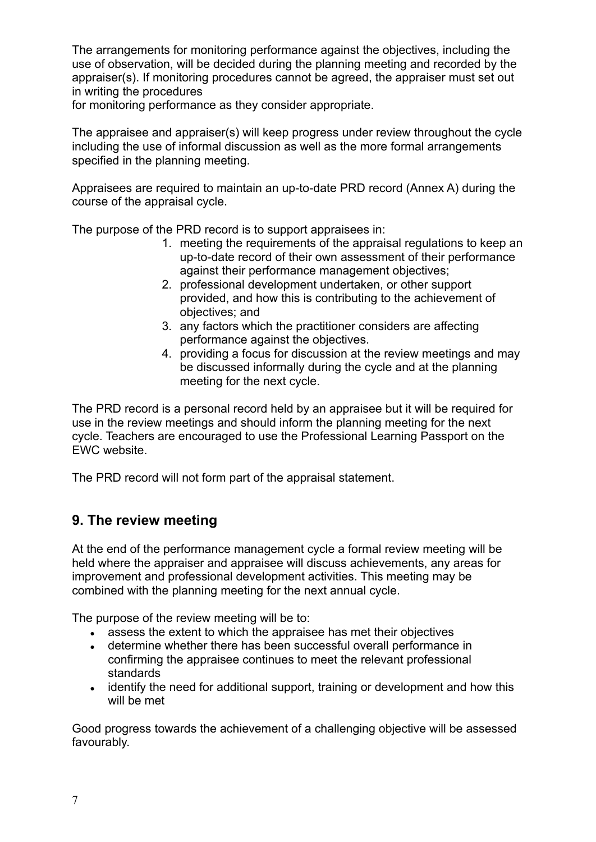The arrangements for monitoring performance against the objectives, including the use of observation, will be decided during the planning meeting and recorded by the appraiser(s). If monitoring procedures cannot be agreed, the appraiser must set out in writing the procedures

for monitoring performance as they consider appropriate.

The appraisee and appraiser(s) will keep progress under review throughout the cycle including the use of informal discussion as well as the more formal arrangements specified in the planning meeting.

Appraisees are required to maintain an up-to-date PRD record (Annex A) during the course of the appraisal cycle.

The purpose of the PRD record is to support appraisees in:

- 1. meeting the requirements of the appraisal regulations to keep an up-to-date record of their own assessment of their performance against their performance management objectives;
- 2. professional development undertaken, or other support provided, and how this is contributing to the achievement of objectives; and
- 3. any factors which the practitioner considers are affecting performance against the objectives.
- 4. providing a focus for discussion at the review meetings and may be discussed informally during the cycle and at the planning meeting for the next cycle.

The PRD record is a personal record held by an appraisee but it will be required for use in the review meetings and should inform the planning meeting for the next cycle. Teachers are encouraged to use the Professional Learning Passport on the EWC website.

The PRD record will not form part of the appraisal statement.

### **9. The review meeting**

At the end of the performance management cycle a formal review meeting will be held where the appraiser and appraisee will discuss achievements, any areas for improvement and professional development activities. This meeting may be combined with the planning meeting for the next annual cycle.

The purpose of the review meeting will be to:

- assess the extent to which the appraisee has met their objectives
- determine whether there has been successful overall performance in confirming the appraisee continues to meet the relevant professional standards
- identify the need for additional support, training or development and how this will be met

Good progress towards the achievement of a challenging objective will be assessed favourably.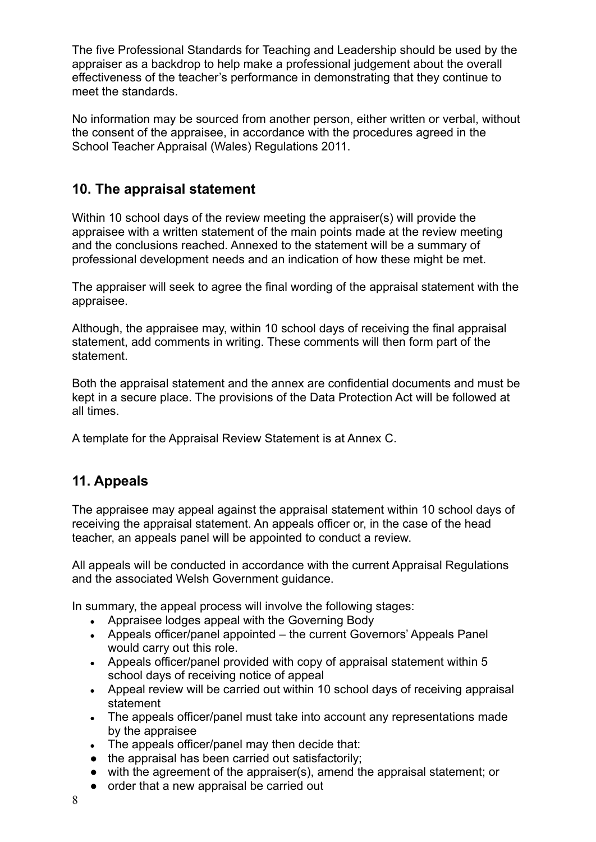The five Professional Standards for Teaching and Leadership should be used by the appraiser as a backdrop to help make a professional judgement about the overall effectiveness of the teacher's performance in demonstrating that they continue to meet the standards.

No information may be sourced from another person, either written or verbal, without the consent of the appraisee, in accordance with the procedures agreed in the School Teacher Appraisal (Wales) Regulations 2011.

### **10. The appraisal statement**

Within 10 school days of the review meeting the appraiser(s) will provide the appraisee with a written statement of the main points made at the review meeting and the conclusions reached. Annexed to the statement will be a summary of professional development needs and an indication of how these might be met.

The appraiser will seek to agree the final wording of the appraisal statement with the appraisee.

Although, the appraisee may, within 10 school days of receiving the final appraisal statement, add comments in writing. These comments will then form part of the statement.

Both the appraisal statement and the annex are confidential documents and must be kept in a secure place. The provisions of the Data Protection Act will be followed at all times.

A template for the Appraisal Review Statement is at Annex C.

### **11. Appeals**

The appraisee may appeal against the appraisal statement within 10 school days of receiving the appraisal statement. An appeals officer or, in the case of the head teacher, an appeals panel will be appointed to conduct a review.

All appeals will be conducted in accordance with the current Appraisal Regulations and the associated Welsh Government guidance.

In summary, the appeal process will involve the following stages:

- Appraisee lodges appeal with the Governing Body
- Appeals officer/panel appointed the current Governors' Appeals Panel would carry out this role.
- Appeals officer/panel provided with copy of appraisal statement within 5 school days of receiving notice of appeal
- Appeal review will be carried out within 10 school days of receiving appraisal statement
- The appeals officer/panel must take into account any representations made by the appraisee
- $\bullet$  The appeals officer/panel may then decide that:
- the appraisal has been carried out satisfactorily;
- with the agreement of the appraiser(s), amend the appraisal statement; or
- order that a new appraisal be carried out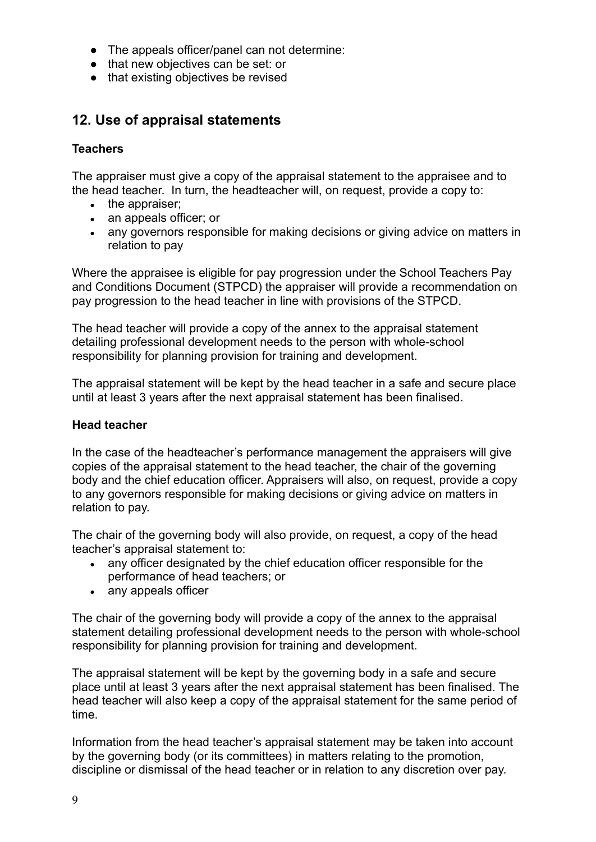- The appeals officer/panel can not determine:
- that new objectives can be set: or
- that existing objectives be revised

### **12. Use of appraisal statements**

#### **Teachers**

The appraiser must give a copy of the appraisal statement to the appraisee and to the head teacher. In turn, the headteacher will, on request, provide a copy to:

- $\bullet$  the appraiser;
- an appeals officer; or
- any governors responsible for making decisions or giving advice on matters in relation to pay

Where the appraisee is eligible for pay progression under the School Teachers Pay and Conditions Document (STPCD) the appraiser will provide a recommendation on pay progression to the head teacher in line with provisions of the STPCD.

The head teacher will provide a copy of the annex to the appraisal statement detailing professional development needs to the person with whole-school responsibility for planning provision for training and development.

The appraisal statement will be kept by the head teacher in a safe and secure place until at least 3 years after the next appraisal statement has been finalised.

#### **Head teacher**

In the case of the headteacher's performance management the appraisers will give copies of the appraisal statement to the head teacher, the chair of the governing body and the chief education officer. Appraisers will also, on request, provide a copy to any governors responsible for making decisions or giving advice on matters in relation to pay.

The chair of the governing body will also provide, on request, a copy of the head teacher's appraisal statement to:

- any officer designated by the chief education officer responsible for the performance of head teachers; or
- any appeals officer

The chair of the governing body will provide a copy of the annex to the appraisal statement detailing professional development needs to the person with whole-school responsibility for planning provision for training and development.

The appraisal statement will be kept by the governing body in a safe and secure place until at least 3 years after the next appraisal statement has been finalised. The head teacher will also keep a copy of the appraisal statement for the same period of time.

Information from the head teacher's appraisal statement may be taken into account by the governing body (or its committees) in matters relating to the promotion, discipline or dismissal of the head teacher or in relation to any discretion over pay.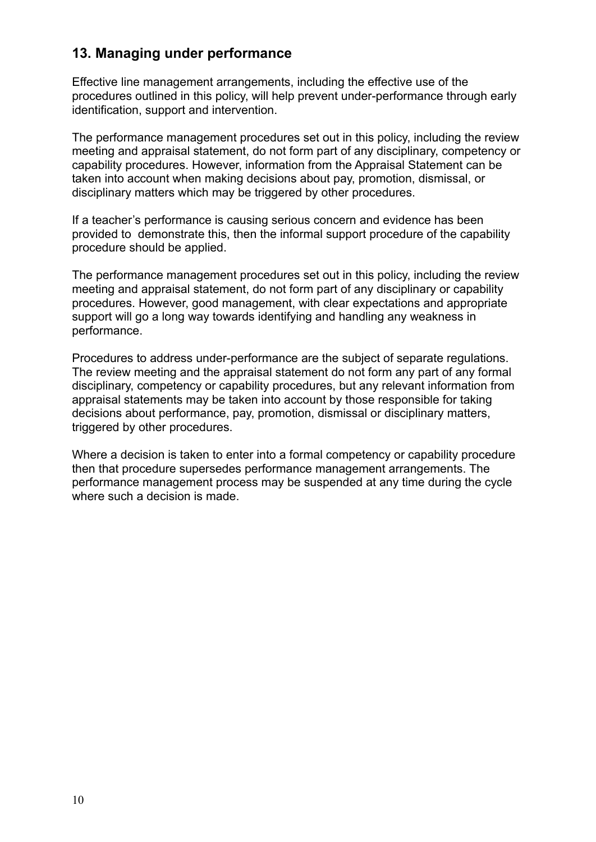### **13. Managing under performance**

Effective line management arrangements, including the effective use of the procedures outlined in this policy, will help prevent under-performance through early identification, support and intervention.

The performance management procedures set out in this policy, including the review meeting and appraisal statement, do not form part of any disciplinary, competency or capability procedures. However, information from the Appraisal Statement can be taken into account when making decisions about pay, promotion, dismissal, or disciplinary matters which may be triggered by other procedures.

If a teacher's performance is causing serious concern and evidence has been provided to demonstrate this, then the informal support procedure of the capability procedure should be applied.

The performance management procedures set out in this policy, including the review meeting and appraisal statement, do not form part of any disciplinary or capability procedures. However, good management, with clear expectations and appropriate support will go a long way towards identifying and handling any weakness in performance.

Procedures to address under-performance are the subject of separate regulations. The review meeting and the appraisal statement do not form any part of any formal disciplinary, competency or capability procedures, but any relevant information from appraisal statements may be taken into account by those responsible for taking decisions about performance, pay, promotion, dismissal or disciplinary matters, triggered by other procedures.

Where a decision is taken to enter into a formal competency or capability procedure then that procedure supersedes performance management arrangements. The performance management process may be suspended at any time during the cycle where such a decision is made.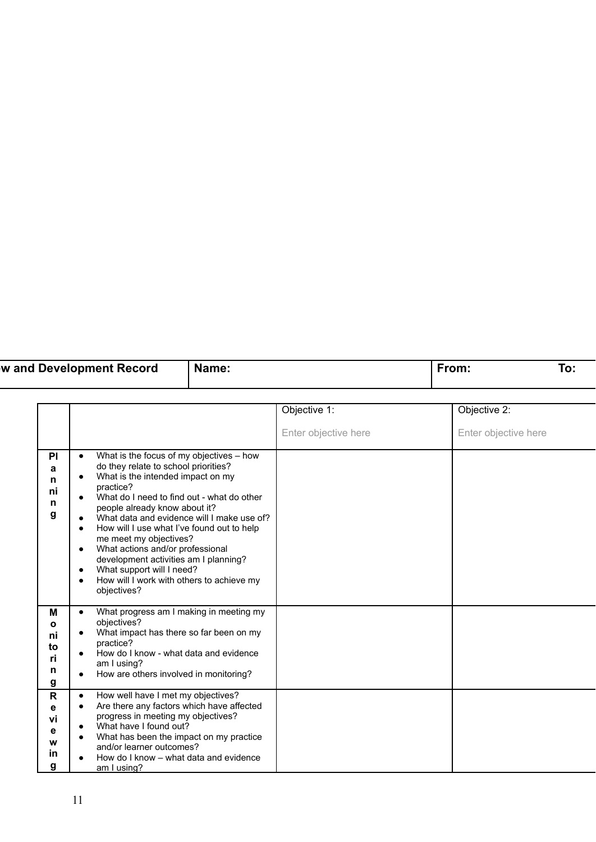| w and Development Record | Name <sup>.</sup> | O. |
|--------------------------|-------------------|----|
|                          |                   |    |

|                                               |                                                                                                                                                                                                                                                                                                                                                                                                                                                                                                                                                                                                               | Objective 1:         | Objective 2:         |
|-----------------------------------------------|---------------------------------------------------------------------------------------------------------------------------------------------------------------------------------------------------------------------------------------------------------------------------------------------------------------------------------------------------------------------------------------------------------------------------------------------------------------------------------------------------------------------------------------------------------------------------------------------------------------|----------------------|----------------------|
|                                               |                                                                                                                                                                                                                                                                                                                                                                                                                                                                                                                                                                                                               | Enter objective here | Enter objective here |
| P <sub>1</sub><br>a<br>n<br>ni<br>n<br>g      | What is the focus of my objectives - how<br>$\bullet$<br>do they relate to school priorities?<br>What is the intended impact on my<br>$\bullet$<br>practice?<br>What do I need to find out - what do other<br>$\bullet$<br>people already know about it?<br>What data and evidence will I make use of?<br>$\bullet$<br>How will I use what I've found out to help<br>٠<br>me meet my objectives?<br>What actions and/or professional<br>$\bullet$<br>development activities am I planning?<br>What support will I need?<br>$\bullet$<br>How will I work with others to achieve my<br>$\bullet$<br>objectives? |                      |                      |
| M<br>$\mathbf{o}$<br>ni<br>to<br>ri<br>n<br>g | What progress am I making in meeting my<br>$\bullet$<br>objectives?<br>What impact has there so far been on my<br>$\bullet$<br>practice?<br>How do I know - what data and evidence<br>$\bullet$<br>am I using?<br>How are others involved in monitoring?<br>$\bullet$                                                                                                                                                                                                                                                                                                                                         |                      |                      |
| $\mathbf R$<br>е<br>vi<br>е<br>W<br>in<br>g   | How well have I met my objectives?<br>$\bullet$<br>Are there any factors which have affected<br>$\bullet$<br>progress in meeting my objectives?<br>What have I found out?<br>$\bullet$<br>What has been the impact on my practice<br>٠<br>and/or learner outcomes?<br>How do I know – what data and evidence<br>am I using?                                                                                                                                                                                                                                                                                   |                      |                      |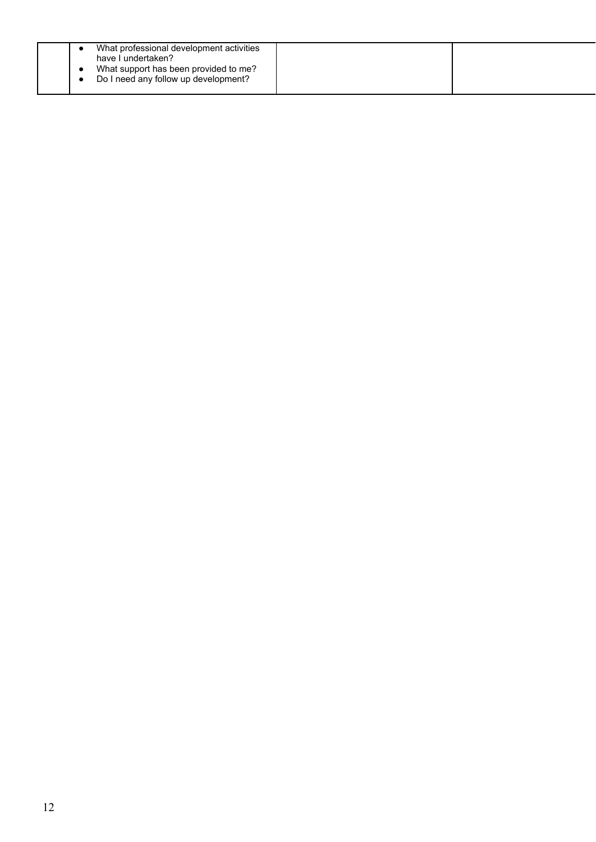|  | What professional development activities<br>have I undertaken?<br>What support has been provided to me?<br>Do I need any follow up development? |  |
|--|-------------------------------------------------------------------------------------------------------------------------------------------------|--|
|  |                                                                                                                                                 |  |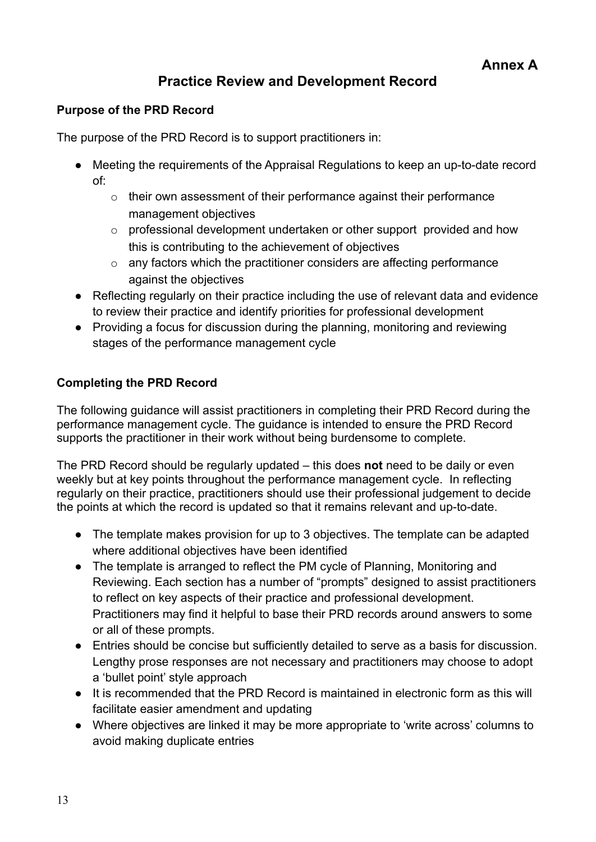### **Practice Review and Development Record**

#### **Purpose of the PRD Record**

The purpose of the PRD Record is to support practitioners in:

- Meeting the requirements of the Appraisal Regulations to keep an up-to-date record of:
	- $\circ$  their own assessment of their performance against their performance management objectives
	- o professional development undertaken or other support provided and how this is contributing to the achievement of objectives
	- $\circ$  any factors which the practitioner considers are affecting performance against the objectives
- Reflecting regularly on their practice including the use of relevant data and evidence to review their practice and identify priorities for professional development
- Providing a focus for discussion during the planning, monitoring and reviewing stages of the performance management cycle

#### **Completing the PRD Record**

The following guidance will assist practitioners in completing their PRD Record during the performance management cycle. The guidance is intended to ensure the PRD Record supports the practitioner in their work without being burdensome to complete.

The PRD Record should be regularly updated – this does **not** need to be daily or even weekly but at key points throughout the performance management cycle. In reflecting regularly on their practice, practitioners should use their professional judgement to decide the points at which the record is updated so that it remains relevant and up-to-date.

- The template makes provision for up to 3 objectives. The template can be adapted where additional objectives have been identified
- The template is arranged to reflect the PM cycle of Planning, Monitoring and Reviewing. Each section has a number of "prompts" designed to assist practitioners to reflect on key aspects of their practice and professional development. Practitioners may find it helpful to base their PRD records around answers to some or all of these prompts.
- Entries should be concise but sufficiently detailed to serve as a basis for discussion. Lengthy prose responses are not necessary and practitioners may choose to adopt a 'bullet point' style approach
- It is recommended that the PRD Record is maintained in electronic form as this will facilitate easier amendment and updating
- Where objectives are linked it may be more appropriate to 'write across' columns to avoid making duplicate entries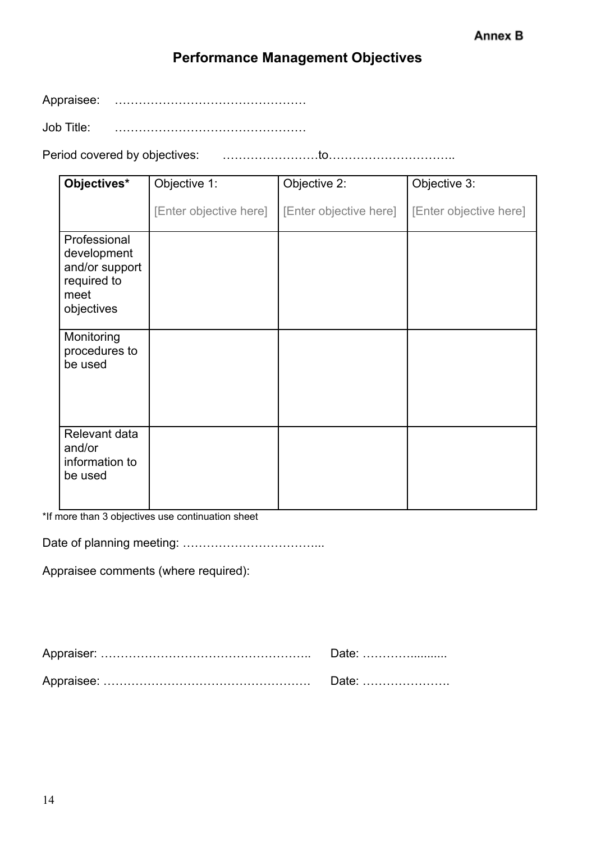### **Performance Management Objectives**

Appraisee: …………………………………………

Job Title: …………………………………………

Period covered by objectives: ……………………to…………………………..

| Objectives*                                                                        | Objective 1:           | Objective 2:           | Objective 3:           |
|------------------------------------------------------------------------------------|------------------------|------------------------|------------------------|
|                                                                                    | [Enter objective here] | [Enter objective here] | [Enter objective here] |
| Professional<br>development<br>and/or support<br>required to<br>meet<br>objectives |                        |                        |                        |
| Monitoring<br>procedures to<br>be used                                             |                        |                        |                        |
| Relevant data<br>and/or<br>information to<br>be used                               |                        |                        |                        |

\*If more than 3 objectives use continuation sheet

Date of planning meeting: ……………………………...

Appraisee comments (where required):

| Date: |
|-------|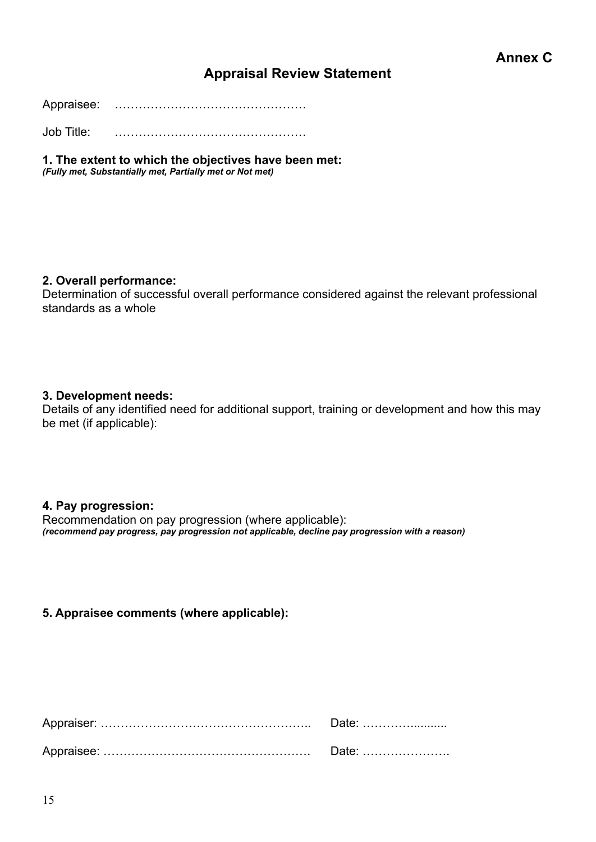### **Appraisal Review Statement**

Appraisee: …………………………………………

Job Title: …………………………………………

**1. The extent to which the objectives have been met:** *(Fully met, Substantially met, Partially met or Not met)*

#### **2. Overall performance:**

Determination of successful overall performance considered against the relevant professional standards as a whole

#### **3. Development needs:**

Details of any identified need for additional support, training or development and how this may be met (if applicable):

#### **4. Pay progression:**

Recommendation on pay progression (where applicable): *(recommend pay progress, pay progression not applicable, decline pay progression with a reason)*

#### **5. Appraisee comments (where applicable):**

| Date: |
|-------|
| Date: |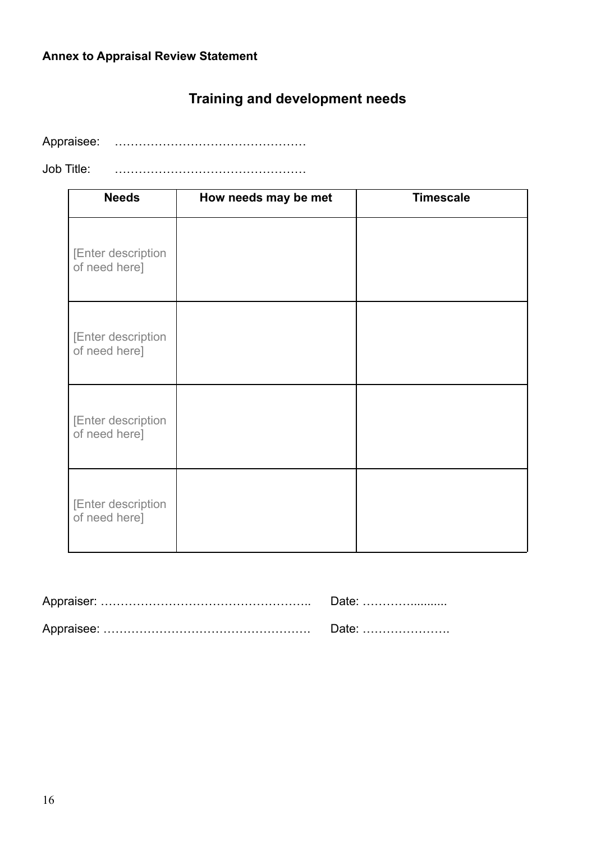# **Training and development needs**

Appraisee: …………………………………………

Job Title: …………………………………………

| <b>Needs</b>                        | How needs may be met | <b>Timescale</b> |
|-------------------------------------|----------------------|------------------|
| [Enter description<br>of need here] |                      |                  |
| [Enter description<br>of need here] |                      |                  |
| [Enter description<br>of need here] |                      |                  |
| [Enter description<br>of need here] |                      |                  |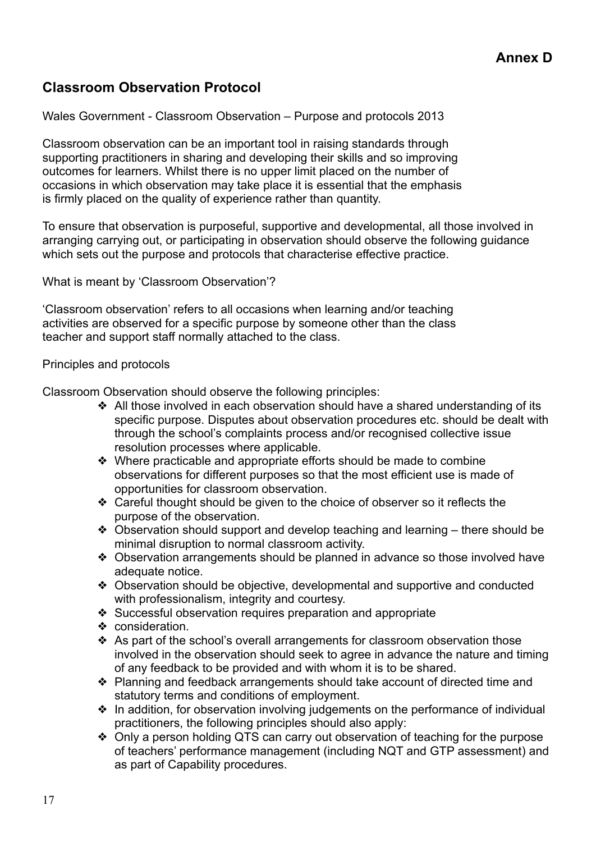### **Classroom Observation Protocol**

Wales Government - Classroom Observation – Purpose and protocols 2013

Classroom observation can be an important tool in raising standards through supporting practitioners in sharing and developing their skills and so improving outcomes for learners. Whilst there is no upper limit placed on the number of occasions in which observation may take place it is essential that the emphasis is firmly placed on the quality of experience rather than quantity.

To ensure that observation is purposeful, supportive and developmental, all those involved in arranging carrying out, or participating in observation should observe the following guidance which sets out the purpose and protocols that characterise effective practice.

What is meant by 'Classroom Observation'?

'Classroom observation' refers to all occasions when learning and/or teaching activities are observed for a specific purpose by someone other than the class teacher and support staff normally attached to the class.

#### Principles and protocols

Classroom Observation should observe the following principles:

- ❖ All those involved in each observation should have a shared understanding of its specific purpose. Disputes about observation procedures etc. should be dealt with through the school's complaints process and/or recognised collective issue resolution processes where applicable.
- ❖ Where practicable and appropriate efforts should be made to combine observations for different purposes so that the most efficient use is made of opportunities for classroom observation.
- ❖ Careful thought should be given to the choice of observer so it reflects the purpose of the observation.
- ❖ Observation should support and develop teaching and learning there should be minimal disruption to normal classroom activity.
- ❖ Observation arrangements should be planned in advance so those involved have adequate notice.
- ❖ Observation should be objective, developmental and supportive and conducted with professionalism, integrity and courtesy.
- ❖ Successful observation requires preparation and appropriate
- ❖ consideration.
- ❖ As part of the school's overall arrangements for classroom observation those involved in the observation should seek to agree in advance the nature and timing of any feedback to be provided and with whom it is to be shared.
- ❖ Planning and feedback arrangements should take account of directed time and statutory terms and conditions of employment.
- ❖ In addition, for observation involving judgements on the performance of individual practitioners, the following principles should also apply:
- ❖ Only a person holding QTS can carry out observation of teaching for the purpose of teachers' performance management (including NQT and GTP assessment) and as part of Capability procedures.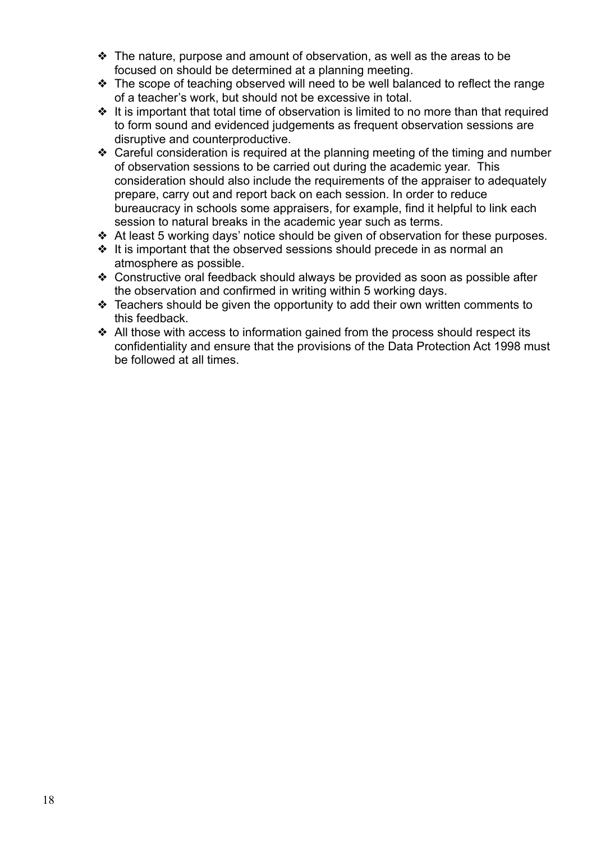- $\triangle$  The nature, purpose and amount of observation, as well as the areas to be focused on should be determined at a planning meeting.
- ❖ The scope of teaching observed will need to be well balanced to reflect the range of a teacher's work, but should not be excessive in total.
- ❖ It is important that total time of observation is limited to no more than that required to form sound and evidenced judgements as frequent observation sessions are disruptive and counterproductive.
- ❖ Careful consideration is required at the planning meeting of the timing and number of observation sessions to be carried out during the academic year. This consideration should also include the requirements of the appraiser to adequately prepare, carry out and report back on each session. In order to reduce bureaucracy in schools some appraisers, for example, find it helpful to link each session to natural breaks in the academic year such as terms.
- ❖ At least 5 working days' notice should be given of observation for these purposes.
- ❖ It is important that the observed sessions should precede in as normal an atmosphere as possible.
- ❖ Constructive oral feedback should always be provided as soon as possible after the observation and confirmed in writing within 5 working days.
- ❖ Teachers should be given the opportunity to add their own written comments to this feedback.
- ❖ All those with access to information gained from the process should respect its confidentiality and ensure that the provisions of the Data Protection Act 1998 must be followed at all times.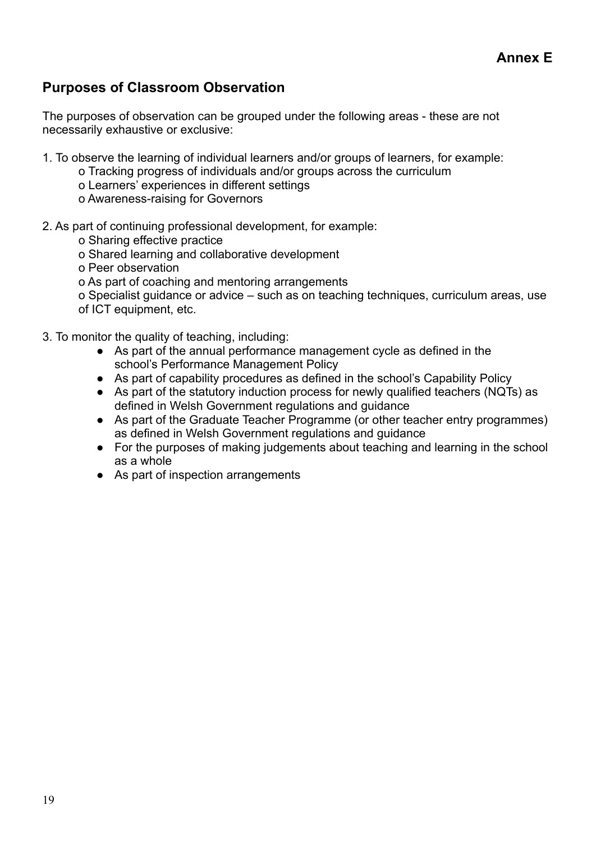### **Purposes of Classroom Observation**

The purposes of observation can be grouped under the following areas - these are not necessarily exhaustive or exclusive:

- 1. To observe the learning of individual learners and/or groups of learners, for example:
	- o Tracking progress of individuals and/or groups across the curriculum
		- o Learners' experiences in different settings
		- o Awareness-raising for Governors
- 2. As part of continuing professional development, for example:
	- o Sharing effective practice
	- o Shared learning and collaborative development
	- o Peer observation
	- o As part of coaching and mentoring arrangements

o Specialist guidance or advice – such as on teaching techniques, curriculum areas, use of ICT equipment, etc.

- 3. To monitor the quality of teaching, including:
	- As part of the annual performance management cycle as defined in the school's Performance Management Policy
	- As part of capability procedures as defined in the school's Capability Policy
	- As part of the statutory induction process for newly qualified teachers (NQTs) as defined in Welsh Government regulations and guidance
	- As part of the Graduate Teacher Programme (or other teacher entry programmes) as defined in Welsh Government regulations and guidance
	- For the purposes of making judgements about teaching and learning in the school as a whole
	- As part of inspection arrangements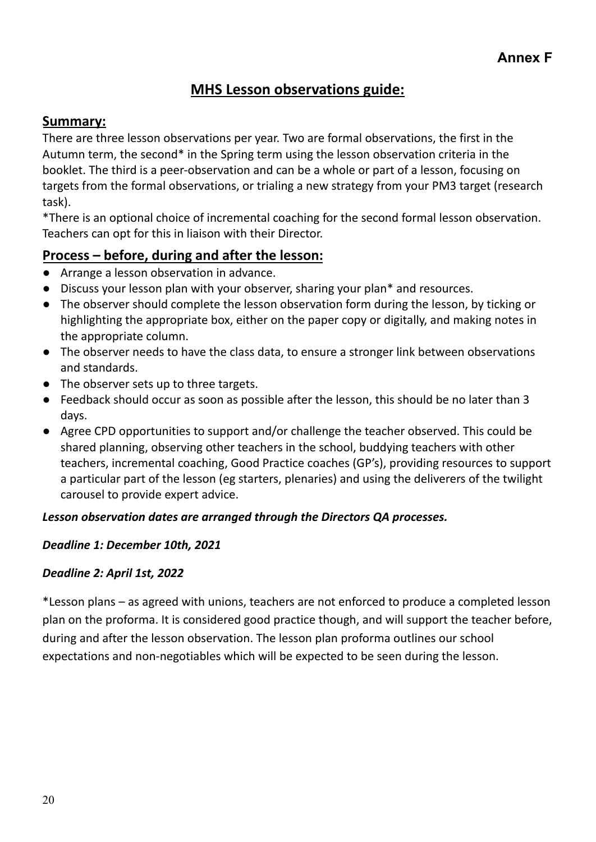### **MHS Lesson observations guide:**

### **Summary:**

There are three lesson observations per year. Two are formal observations, the first in the Autumn term, the second\* in the Spring term using the lesson observation criteria in the booklet. The third is a peer-observation and can be a whole or part of a lesson, focusing on targets from the formal observations, or trialing a new strategy from your PM3 target (research task).

\*There is an optional choice of incremental coaching for the second formal lesson observation. Teachers can opt for this in liaison with their Director.

### **Process – before, during and after the lesson:**

- Arrange a lesson observation in advance.
- Discuss your lesson plan with your observer, sharing your plan\* and resources.
- The observer should complete the lesson observation form during the lesson, by ticking or highlighting the appropriate box, either on the paper copy or digitally, and making notes in the appropriate column.
- The observer needs to have the class data, to ensure a stronger link between observations and standards.
- The observer sets up to three targets.
- Feedback should occur as soon as possible after the lesson, this should be no later than 3 days.
- Agree CPD opportunities to support and/or challenge the teacher observed. This could be shared planning, observing other teachers in the school, buddying teachers with other teachers, incremental coaching, Good Practice coaches (GP's), providing resources to support a particular part of the lesson (eg starters, plenaries) and using the deliverers of the twilight carousel to provide expert advice.

### *Lesson observation dates are arranged through the Directors QA processes.*

### *Deadline 1: December 10th, 2021*

#### *Deadline 2: April 1st, 2022*

\*Lesson plans – as agreed with unions, teachers are not enforced to produce a completed lesson plan on the proforma. It is considered good practice though, and will support the teacher before, during and after the lesson observation. The lesson plan proforma outlines our school expectations and non-negotiables which will be expected to be seen during the lesson.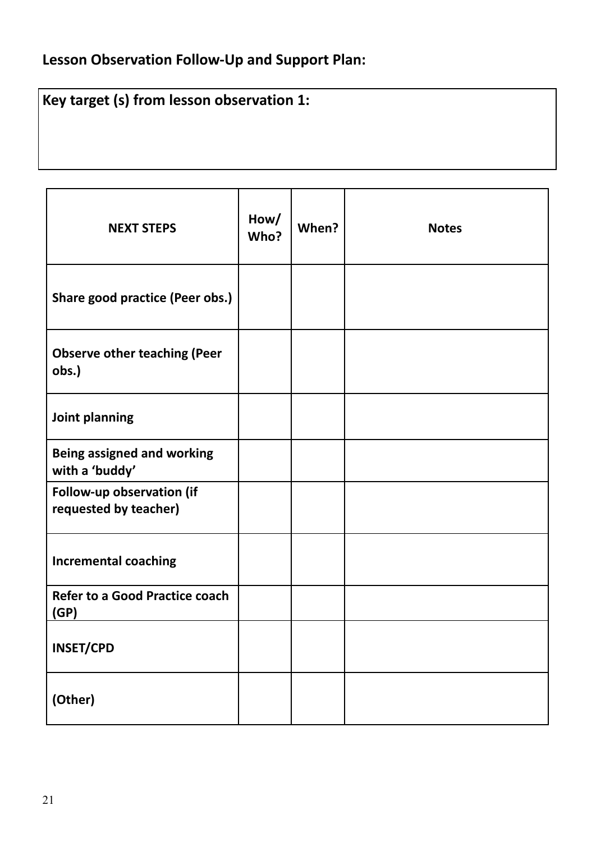# **Lesson Observation Follow-Up and Support Plan:**

# **Key target (s) from lesson observation 1:**

| <b>NEXT STEPS</b>                                   | How/<br>Who? | When? | <b>Notes</b> |
|-----------------------------------------------------|--------------|-------|--------------|
| Share good practice (Peer obs.)                     |              |       |              |
| <b>Observe other teaching (Peer</b><br>obs.)        |              |       |              |
| Joint planning                                      |              |       |              |
| <b>Being assigned and working</b><br>with a 'buddy' |              |       |              |
| Follow-up observation (if<br>requested by teacher)  |              |       |              |
| <b>Incremental coaching</b>                         |              |       |              |
| <b>Refer to a Good Practice coach</b><br>(GP)       |              |       |              |
| <b>INSET/CPD</b>                                    |              |       |              |
| (Other)                                             |              |       |              |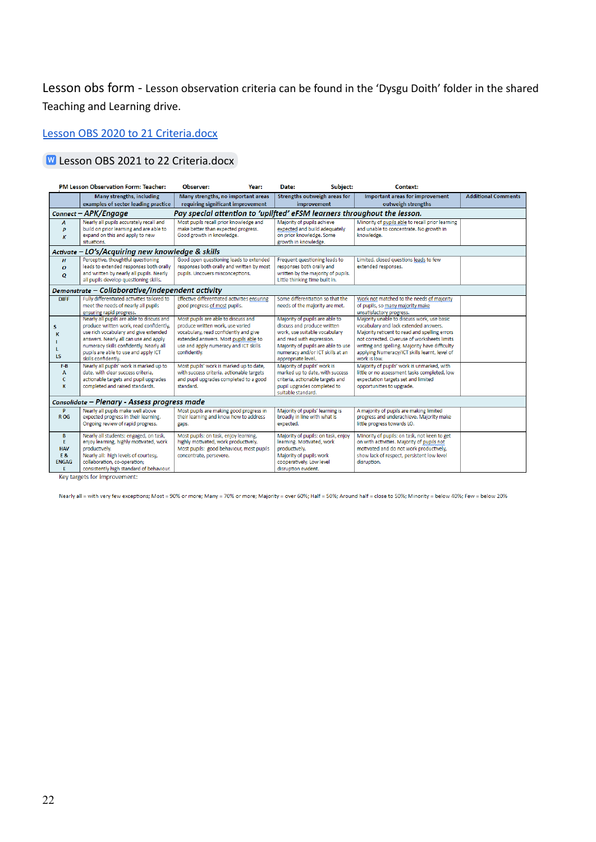Lesson obs form - Lesson observation criteria can be found in the 'Dysgu Doith' folder in the shared Teaching and Learning drive.

#### [Lesson OBS 2020 to 21 Criteria.docx](https://docs.google.com/document/d/1-BRB5Gk6ECXlPPnFSNnBaE-m2eXAOIp3/edit)

#### **W** [Lesson OBS 2021 to 22 Criteria.docx](https://docs.google.com/document/d/1-BRB5Gk6ECXlPPnFSNnBaE-m2eXAOIp3/edit)

|                  | PM Lesson Observation Form: Teacher:                                               | Observer:<br>Year:                                                             | Subject:<br>Date:                                                    | Context:                                                                                        |                            |  |  |
|------------------|------------------------------------------------------------------------------------|--------------------------------------------------------------------------------|----------------------------------------------------------------------|-------------------------------------------------------------------------------------------------|----------------------------|--|--|
|                  | <b>Many strengths, including</b>                                                   | Many strengths, no important areas                                             | Strengths outweigh areas for                                         | Important areas for improvement                                                                 | <b>Additional Comments</b> |  |  |
|                  | examples of sector leading practice                                                | requiring significant improvement                                              | improvement                                                          | outweigh strengths                                                                              |                            |  |  |
|                  | Connect - APK/Engage                                                               | Pay special attention to 'uplifted' eFSM learners throughout the lesson.       |                                                                      |                                                                                                 |                            |  |  |
| A                | Nearly all pupils accurately recall and                                            | Most pupils recall prior knowledge and                                         | Majority of pupils achieve                                           | Minority of pupils able to recall prior learning                                                |                            |  |  |
| P                | build on prior learning and are able to                                            | make better than expected progress.                                            | expected and build adequately                                        | and unable to concentrate. No growth in                                                         |                            |  |  |
| ĸ                | expand on this and apply to new<br>situations.                                     | Good growth in knowledge.                                                      | on prior knowledge. Some<br>growth in knowledge.                     | knowledge.                                                                                      |                            |  |  |
|                  |                                                                                    |                                                                                |                                                                      |                                                                                                 |                            |  |  |
|                  | Activate - LO's/Acquiring new knowledge & skills                                   |                                                                                |                                                                      |                                                                                                 |                            |  |  |
| H                | Perceptive, thoughtful questioning                                                 | Good open questioning leads to extended                                        | Frequent questioning leads to                                        | Limited, closed questions leads to few                                                          |                            |  |  |
| $\boldsymbol{o}$ | leads to extended responses both orally                                            | responses both orally and written by most<br>pupils. Uncovers misconceptions.  | responses both orally and                                            | extended responses.                                                                             |                            |  |  |
| Q                | and written by nearly all pupils. Nearly<br>all pupils develop questioning skills. |                                                                                | written by the majority of pupils.<br>Little thinking time built in. |                                                                                                 |                            |  |  |
|                  | Demonstrate – Collaborative/Independent activity                                   |                                                                                |                                                                      |                                                                                                 |                            |  |  |
| <b>DIFF</b>      | Fully differentiated activities tailored to                                        | Effective differentiated activities ensuring                                   | Some differentiation so that the                                     | Work not matched to the needs of majority                                                       |                            |  |  |
|                  | meet the needs of nearly all pupils                                                | good progress of most pupils.                                                  | needs of the majority are met.                                       | of pupils, so many majority make                                                                |                            |  |  |
|                  | ensuring rapid progress.                                                           |                                                                                |                                                                      | unsatisfactory progress.                                                                        |                            |  |  |
|                  | Nearly all pupils are able to discuss and                                          | Most pupils are able to discuss and                                            | Majority of pupils are able to                                       | Majority unable to discuss work, use basic                                                      |                            |  |  |
| s                | produce written work, read confidently,                                            | produce written work, use varied                                               | discuss and produce written                                          | vocabulary and lack extended answers.                                                           |                            |  |  |
| К                | use rich vocabulary and give extended                                              | vocabulary, read confidently and give                                          | work, use suitable vocabulary                                        | Majority reticent to read and spelling errors                                                   |                            |  |  |
|                  | answers. Nearly all can use and apply<br>numeracy skills confidently. Nearly all   | extended answers. Most pupils able to<br>use and apply numeracy and ICT skills | and read with expression.<br>Majority of pupils are able to use      | not corrected. Overuse of worksheets limits                                                     |                            |  |  |
|                  | pupils are able to use and apply ICT                                               | confidently.                                                                   | numeracy and/or ICT skills at an                                     | writing and spelling. Majority have difficulty<br>applying Numeracy/ICT skills learnt, level of |                            |  |  |
| <b>LS</b>        | skills confidently.                                                                |                                                                                | appropriate level.                                                   | work is low.                                                                                    |                            |  |  |
| F-B              | Nearly all pupils' work is marked up to                                            | Most pupils' work is marked up to date,                                        | Majority of pupils' work is                                          | Majority of pupils' work is unmarked, with                                                      |                            |  |  |
| A                | date, with clear success criteria,                                                 | with success criteria, actionable targets                                      | marked up to date, with success                                      | little or no assessment tasks completed, low                                                    |                            |  |  |
| c                | actionable targets and pupil upgrades                                              | and pupil upgrades completed to a good                                         | criteria, actionable targets and                                     | expectation targets set and limited                                                             |                            |  |  |
| K                | completed and raised standards.                                                    | standard.                                                                      | pupil upgrades completed to                                          | opportunities to upgrade.                                                                       |                            |  |  |
|                  |                                                                                    |                                                                                | suitable standard.                                                   |                                                                                                 |                            |  |  |
|                  | Consolidate - Plenary - Assess progress made                                       |                                                                                |                                                                      |                                                                                                 |                            |  |  |
| P                | Nearly all pupils make well above                                                  | Most pupils are making good progress in                                        | Majority of pupils' learning is                                      | A majority of pupils are making limited                                                         |                            |  |  |
| R <sub>OG</sub>  | expected progress in their learning.<br>Ongoing review of rapid progress.          | their learning and know how to address                                         | broadly in line with what is<br>expected.                            | progress and underachieve. Majority make<br>little progress towards LO.                         |                            |  |  |
|                  |                                                                                    | gaps.                                                                          |                                                                      |                                                                                                 |                            |  |  |
| B                | Nearly all students: engaged, on task,                                             | Most pupils: on task, enjoy learning,                                          | Majority of pupils: on task, enjoy                                   | Minority of pupils: on task, not keen to get                                                    |                            |  |  |
| E.               | enjoy learning, highly motivated, work                                             | highly motivated, work productively.                                           | learning. Motivated, work                                            | on with activities. Majority of pupils not                                                      |                            |  |  |
| <b>HAV</b>       | productively.                                                                      | Most pupils: good behaviour, most pupils                                       | productively.                                                        | motivated and do not work productively,                                                         |                            |  |  |
| E&               | Nearly all: high levels of courtesy,                                               | concentrate, persevere.                                                        | Majority of pupils work                                              | show lack of respect, persistent low level                                                      |                            |  |  |
| <b>ENGAG</b>     | collaboration, co-operation;<br>consistently high standard of behaviour.           |                                                                                | cooperatively. Low level<br>disruption evident.                      | disruption.                                                                                     |                            |  |  |
| E                |                                                                                    |                                                                                |                                                                      |                                                                                                 |                            |  |  |

Key targets for improvement:

Nearly all = with very few exceptions; Most = 90% or more; Many = 70% or more; Majority = over 60%; Half = 50%; Around half = close to 50%; Minority = below 40%; Few = below 20%